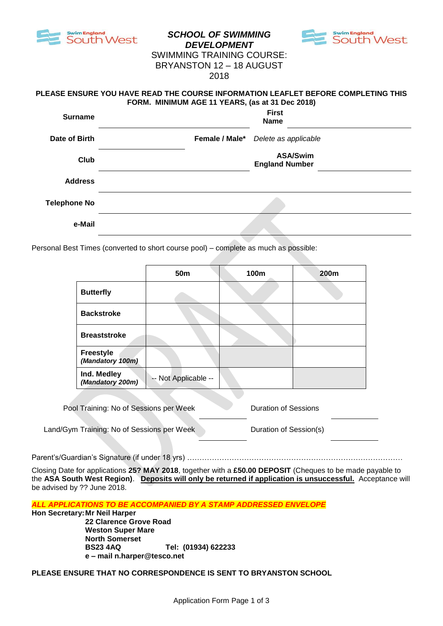

# *SCHOOL OF SWIMMING DEVELOPMENT*



# SWIMMING TRAINING COURSE: BRYANSTON 12 – 18 AUGUST 2018

#### **PLEASE ENSURE YOU HAVE READ THE COURSE INFORMATION LEAFLET BEFORE COMPLETING THIS FORM. MINIMUM AGE 11 YEARS, (as at 31 Dec 2018)**

| <b>Surname</b>      | <b>First</b><br><b>Name</b>              |
|---------------------|------------------------------------------|
| Date of Birth       | Female / Male* Delete as applicable      |
| Club                | <b>ASA/Swim</b><br><b>England Number</b> |
| <b>Address</b>      |                                          |
| <b>Telephone No</b> |                                          |
| e-Mail              |                                          |

Personal Best Times (converted to short course pool) – complete as much as possible:

|                                      | 50 <sub>m</sub>      | 100m | 200m |
|--------------------------------------|----------------------|------|------|
| <b>Butterfly</b>                     |                      |      |      |
| <b>Backstroke</b>                    |                      |      |      |
| <b>Breaststroke</b>                  |                      |      |      |
| <b>Freestyle</b><br>(Mandatory 100m) |                      |      |      |
| Ind. Medley<br>(Mandatory 200m)      | -- Not Applicable -- |      |      |

| Pool Training: No of Sessions per Week     | Duration of Sessions   |
|--------------------------------------------|------------------------|
|                                            |                        |
| Land/Gym Training: No of Sessions per Week | Duration of Session(s) |

Parent's/Guardian's Signature (if under 18 yrs) ……………………………………………………………………………………

Closing Date for applications **25? MAY 2018**, together with a **£50.00 DEPOSIT** (Cheques to be made payable to the **ASA South West Region)**. **Deposits will only be returned if application is unsuccessful.** Acceptance will be advised by ?? June 2018.

*ALL APPLICATIONS TO BE ACCOMPANIED BY A STAMP ADDRESSED ENVELOPE*

**Hon Secretary:Mr Neil Harper**

**22 Clarence Grove Road Weston Super Mare North Somerset BS23 4AQ Tel: (01934) 622233 e – mail n.harper@tesco.net**

**PLEASE ENSURE THAT NO CORRESPONDENCE IS SENT TO BRYANSTON SCHOOL**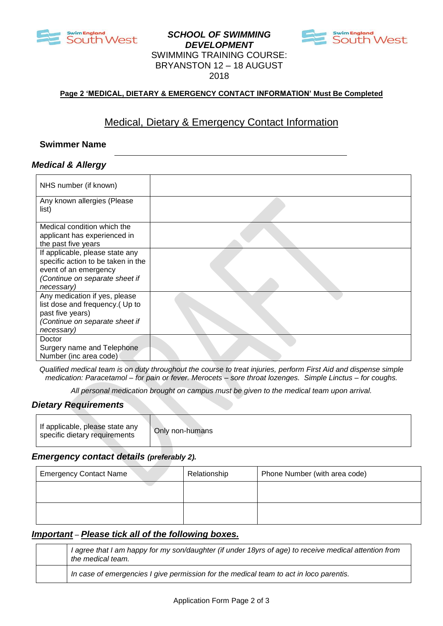

## *SCHOOL OF SWIMMING DEVELOPMENT* SWIMMING TRAINING COURSE: BRYANSTON 12 – 18 AUGUST 2018



#### **Page 2 'MEDICAL, DIETARY & EMERGENCY CONTACT INFORMATION' Must Be Completed**

# Medical, Dietary & Emergency Contact Information

#### **Swimmer Name**

#### *Medical & Allergy*

| NHS number (if known)                |  |
|--------------------------------------|--|
| Any known allergies (Please<br>list) |  |
|                                      |  |
| Medical condition which the          |  |
| applicant has experienced in         |  |
| the past five years                  |  |
| If applicable, please state any      |  |
| specific action to be taken in the   |  |
| event of an emergency                |  |
| (Continue on separate sheet if       |  |
| necessary)                           |  |
| Any medication if yes, please        |  |
| list dose and frequency.(Up to       |  |
| past five years)                     |  |
| (Continue on separate sheet if       |  |
| necessary)                           |  |
| Doctor                               |  |
| Surgery name and Telephone           |  |
| Number (inc area code)               |  |

*Qualified medical team is on duty throughout the course to treat injuries, perform First Aid and dispense simple medication: Paracetamol – for pain or fever. Merocets – sore throat lozenges. Simple Linctus – for coughs.*

*All personal medication brought on campus must be given to the medical team upon arrival.*

#### *Dietary Requirements*

| If applicable, please state any<br>specific dietary requirements | Only non-humans |
|------------------------------------------------------------------|-----------------|
|------------------------------------------------------------------|-----------------|

#### *Emergency contact details (preferably 2).*

| <b>Emergency Contact Name</b> | Relationship | Phone Number (with area code) |
|-------------------------------|--------------|-------------------------------|
|                               |              |                               |
|                               |              |                               |

#### *Important – Please tick all of the following boxes.*

| I agree that I am happy for my son/daughter (if under 18yrs of age) to receive medical attention from<br>the medical team. |
|----------------------------------------------------------------------------------------------------------------------------|
| In case of emergencies I give permission for the medical team to act in loco parentis.                                     |